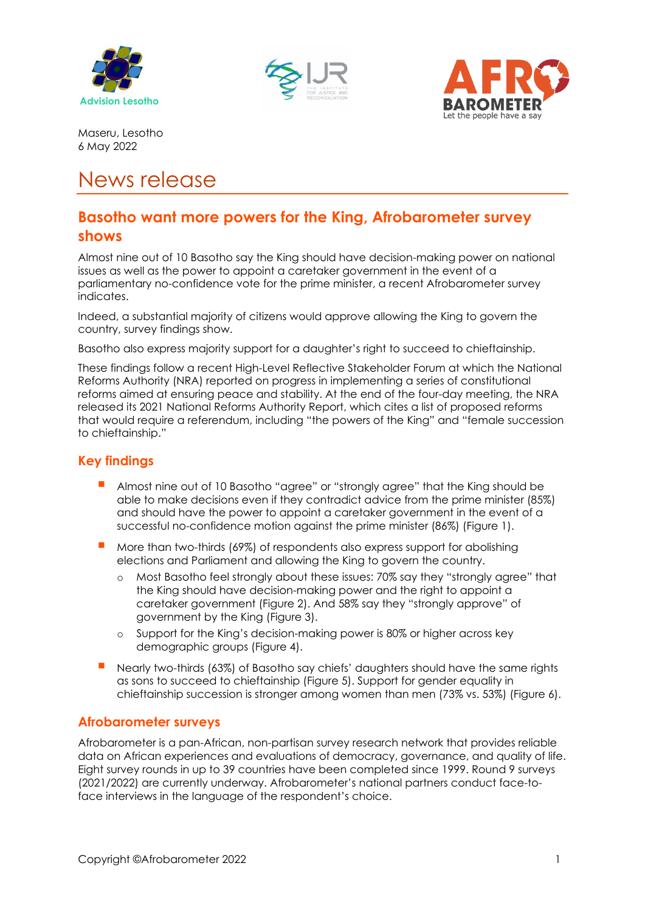





Maseru, Lesotho 6 May 2022

# News release

# **Basotho want more powers for the King, Afrobarometer survey shows**

Almost nine out of 10 Basotho say the King should have decision-making power on national issues as well as the power to appoint a caretaker government in the event of a parliamentary no-confidence vote for the prime minister, a recent Afrobarometer survey indicates.

Indeed, a substantial majority of citizens would approve allowing the King to govern the country, survey findings show.

Basotho also express majority support for a daughter's right to succeed to chieftainship.

These findings follow a recent High-Level Reflective Stakeholder Forum at which the National Reforms Authority (NRA) reported on progress in implementing a series of constitutional reforms aimed at ensuring peace and stability. At the end of the four-day meeting, the NRA released its 2021 National Reforms Authority Report, which cites a list of proposed reforms that would require a referendum, including "the powers of the King" and "female succession to chieftainship."

### **Key findings**

- Almost nine out of 10 Basotho "agree" or "strongly agree" that the King should be able to make decisions even if they contradict advice from the prime minister (85%) and should have the power to appoint a caretaker government in the event of a successful no-confidence motion against the prime minister (86%) (Figure 1).
- More than two-thirds (69%) of respondents also express support for abolishing elections and Parliament and allowing the King to govern the country.
	- o Most Basotho feel strongly about these issues: 70% say they "strongly agree" that the King should have decision-making power and the right to appoint a caretaker government (Figure 2). And 58% say they "strongly approve" of government by the King (Figure 3).
	- o Support for the King's decision-making power is 80% or higher across key demographic groups (Figure 4).
- Nearly two-thirds (63%) of Basotho say chiefs' daughters should have the same rights as sons to succeed to chieftainship (Figure 5). Support for gender equality in chieftainship succession is stronger among women than men (73% vs. 53%) (Figure 6).

### **Afrobarometer surveys**

Afrobarometer is a pan-African, non-partisan survey research network that provides reliable data on African experiences and evaluations of democracy, governance, and quality of life. Eight survey rounds in up to 39 countries have been completed since 1999. Round 9 surveys (2021/2022) are currently underway. Afrobarometer's national partners conduct face-toface interviews in the language of the respondent's choice.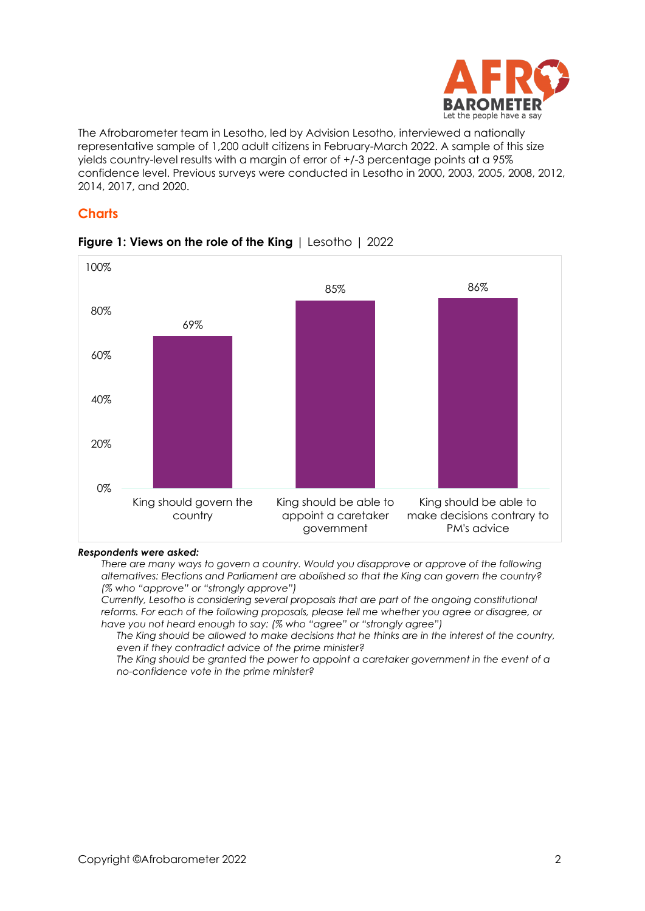

The Afrobarometer team in Lesotho, led by Advision Lesotho, interviewed a nationally representative sample of 1,200 adult citizens in February-March 2022. A sample of this size yields country-level results with a margin of error of +/-3 percentage points at a 95% confidence level. Previous surveys were conducted in Lesotho in 2000, 2003, 2005, 2008, 2012, 2014, 2017, and 2020.

#### **Charts**



#### **Figure 1: Views on the role of the King** | Lesotho | 2022

#### *Respondents were asked:*

*There are many ways to govern a country. Would you disapprove or approve of the following alternatives: Elections and Parliament are abolished so that the King can govern the country? (% who "approve" or "strongly approve")*

*Currently, Lesotho is considering several proposals that are part of the ongoing constitutional reforms. For each of the following proposals, please tell me whether you agree or disagree, or have you not heard enough to say: (% who "agree" or "strongly agree")*

*The King should be allowed to make decisions that he thinks are in the interest of the country, even if they contradict advice of the prime minister?*

*The King should be granted the power to appoint a caretaker government in the event of a no-confidence vote in the prime minister?*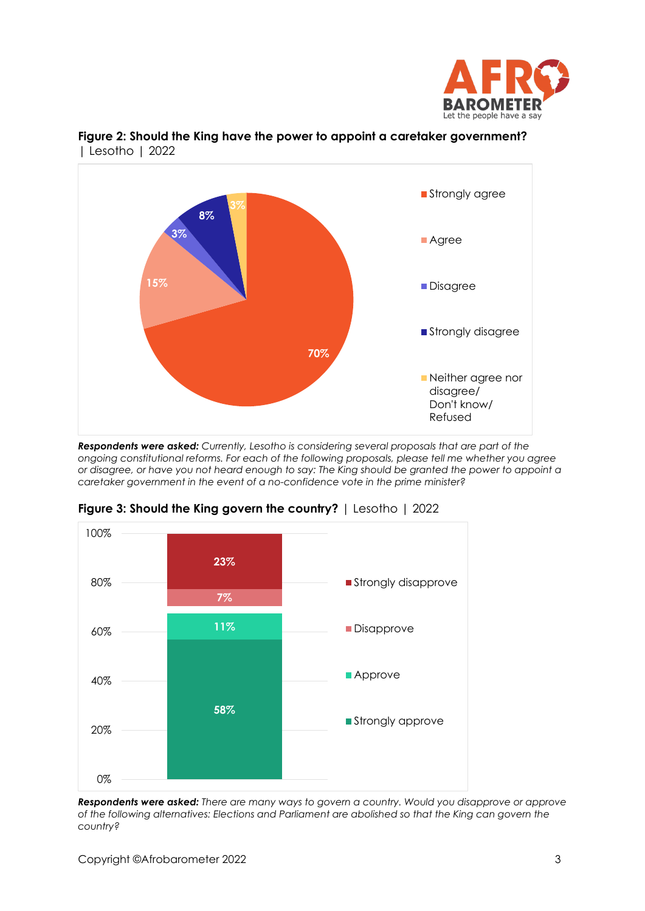



**Figure 2: Should the King have the power to appoint a caretaker government?**  | Lesotho | 2022

*Respondents were asked: Currently, Lesotho is considering several proposals that are part of the ongoing constitutional reforms. For each of the following proposals, please tell me whether you agree or disagree, or have you not heard enough to say: The King should be granted the power to appoint a caretaker government in the event of a no-confidence vote in the prime minister?*



**Figure 3: Should the King govern the country?** | Lesotho | 2022

*Respondents were asked: There are many ways to govern a country. Would you disapprove or approve of the following alternatives: Elections and Parliament are abolished so that the King can govern the country?*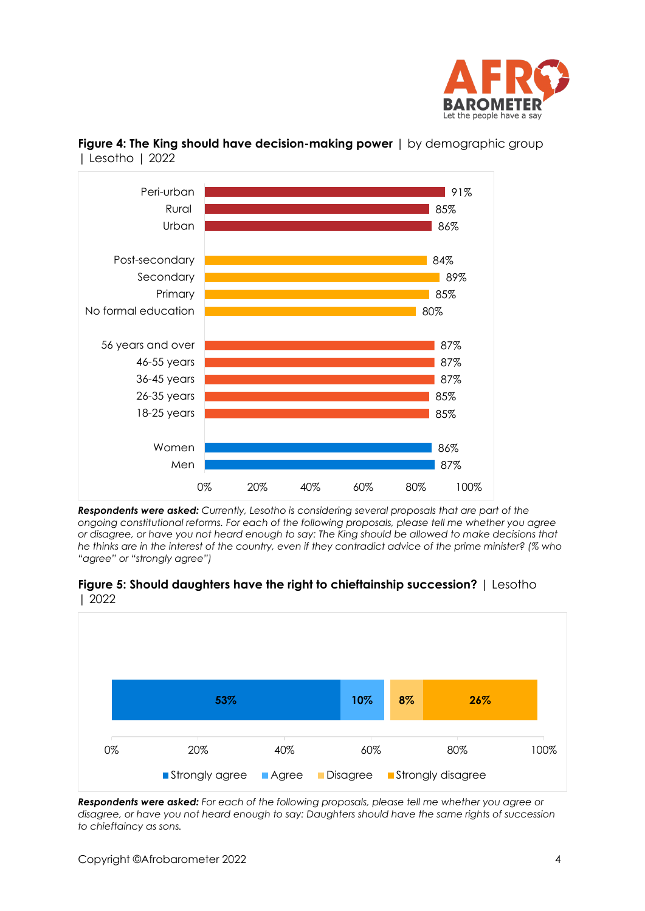



**Figure 4: The King should have decision-making power** | by demographic group | Lesotho | 2022

*Respondents were asked: Currently, Lesotho is considering several proposals that are part of the ongoing constitutional reforms. For each of the following proposals, please tell me whether you agree or disagree, or have you not heard enough to say: The King should be allowed to make decisions that he thinks are in the interest of the country, even if they contradict advice of the prime minister? (% who "agree" or "strongly agree")*





*Respondents were asked: For each of the following proposals, please tell me whether you agree or disagree, or have you not heard enough to say: Daughters should have the same rights of succession to chieftaincy as sons.*